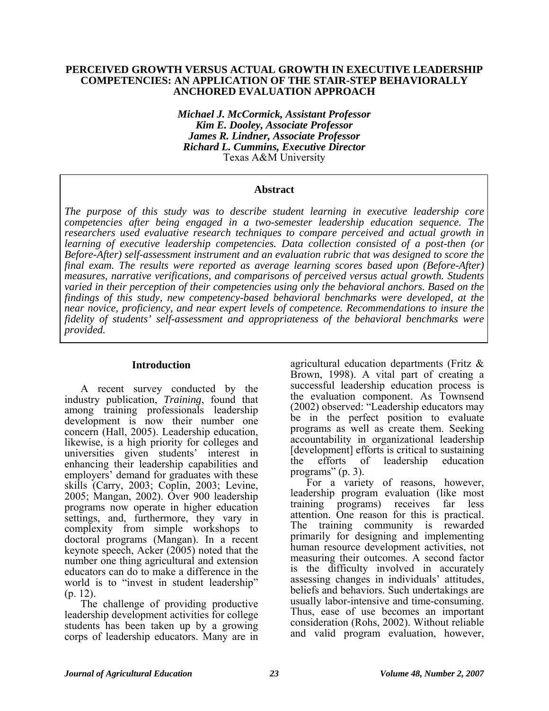#### **PERCEIVED GROWTH VERSUS ACTUAL GROWTH IN EXECUTIVE LEADERSHIP COMPETENCIES: AN APPLICATION OF THE STAIR-STEP BEHAVIORALLY ANCHORED EVALUATION APPROACH**

*Michael J. McCormick, Assistant Professor Kim E. Dooley, Associate Professor James R. Lindner, Associate Professor Richard L. Cummins, Executive Director*  Texas A&M University

#### **Abstract**

*The purpose of this study was to describe student learning in executive leadership core competencies after being engaged in a two-semester leadership education sequence. The researchers used evaluative research techniques to compare perceived and actual growth in learning of executive leadership competencies. Data collection consisted of a post-then (or Before-After) self-assessment instrument and an evaluation rubric that was designed to score the final exam. The results were reported as average learning scores based upon (Before-After) measures, narrative verifications, and comparisons of perceived versus actual growth. Students varied in their perception of their competencies using only the behavioral anchors. Based on the findings of this study, new competency-based behavioral benchmarks were developed, at the near novice, proficiency, and near expert levels of competence. Recommendations to insure the fidelity of students' self-assessment and appropriateness of the behavioral benchmarks were provided.* 

#### **Introduction**

A recent survey conducted by the industry publication, *Training*, found that among training professionals leadership development is now their number one concern (Hall, 2005). Leadership education, likewise, is a high priority for colleges and universities given students' interest in enhancing their leadership capabilities and employers' demand for graduates with these skills (Carry, 2003; Coplin, 2003; Levine, 2005; Mangan, 2002). Over 900 leadership programs now operate in higher education settings, and, furthermore, they vary in complexity from simple workshops to doctoral programs (Mangan). In a recent keynote speech, Acker (2005) noted that the number one thing agricultural and extension educators can do to make a difference in the world is to "invest in student leadership" (p. 12).

The challenge of providing productive leadership development activities for college students has been taken up by a growing corps of leadership educators. Many are in agricultural education departments (Fritz & Brown, 1998). A vital part of creating a successful leadership education process is the evaluation component. As Townsend (2002) observed: "Leadership educators may be in the perfect position to evaluate programs as well as create them. Seeking accountability in organizational leadership [development] efforts is critical to sustaining<br>the efforts of leadership education the efforts of leadership education programs" (p. 3).

For a variety of reasons, however, leadership program evaluation (like most training programs) receives far less attention. One reason for this is practical. The training community is rewarded primarily for designing and implementing human resource development activities, not measuring their outcomes. A second factor is the difficulty involved in accurately assessing changes in individuals' attitudes, beliefs and behaviors. Such undertakings are usually labor-intensive and time-consuming. Thus, ease of use becomes an important consideration (Rohs, 2002). Without reliable and valid program evaluation, however,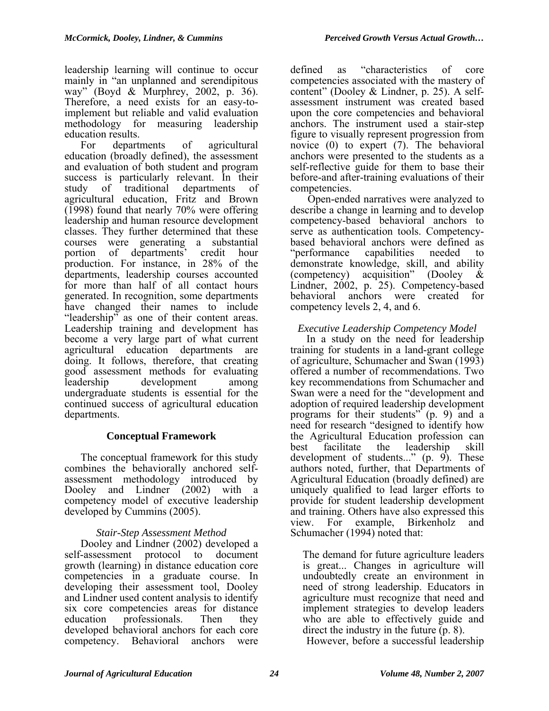leadership learning will continue to occur mainly in "an unplanned and serendipitous way" (Boyd & Murphrey, 2002, p. 36). Therefore, a need exists for an easy-toimplement but reliable and valid evaluation methodology for measuring leadership education results.

For departments of agricultural education (broadly defined), the assessment and evaluation of both student and program success is particularly relevant. In their study of traditional departments of agricultural education, Fritz and Brown (1998) found that nearly 70% were offering leadership and human resource development classes. They further determined that these courses were generating a substantial portion of departments' credit hour production. For instance, in 28% of the departments, leadership courses accounted for more than half of all contact hours generated. In recognition, some departments have changed their names to include "leadership" as one of their content areas. Leadership training and development has become a very large part of what current agricultural education departments are doing. It follows, therefore, that creating good assessment methods for evaluating leadership development among undergraduate students is essential for the continued success of agricultural education departments.

# **Conceptual Framework**

The conceptual framework for this study combines the behaviorally anchored selfassessment methodology introduced by Dooley and Lindner (2002) with a competency model of executive leadership developed by Cummins (2005).

# *Stair-Step Assessment Method*

Dooley and Lindner (2002) developed a self-assessment protocol to document growth (learning) in distance education core competencies in a graduate course. In developing their assessment tool, Dooley and Lindner used content analysis to identify six core competencies areas for distance education professionals. Then they developed behavioral anchors for each core competency. Behavioral anchors were

defined as "characteristics of core competencies associated with the mastery of content" (Dooley & Lindner, p. 25). A selfassessment instrument was created based upon the core competencies and behavioral anchors. The instrument used a stair-step figure to visually represent progression from novice (0) to expert (7). The behavioral anchors were presented to the students as a self-reflective guide for them to base their before-and after-training evaluations of their competencies.

Open-ended narratives were analyzed to describe a change in learning and to develop competency-based behavioral anchors to serve as authentication tools. Competencybased behavioral anchors were defined as "performance capabilities needed to demonstrate knowledge, skill, and ability (competency) acquisition" (Dooley  $\&$ Lindner, 2002, p. 25). Competency-based behavioral anchors were created for competency levels 2, 4, and 6.

# *Executive Leadership Competency Model*

In a study on the need for leadership training for students in a land-grant college of agriculture, Schumacher and Swan (1993) offered a number of recommendations. Two key recommendations from Schumacher and Swan were a need for the "development and adoption of required leadership development programs for their students" (p. 9) and a need for research "designed to identify how the Agricultural Education profession can best facilitate the leadership skill development of students..." (p. 9). These authors noted, further, that Departments of Agricultural Education (broadly defined) are uniquely qualified to lead larger efforts to provide for student leadership development and training. Others have also expressed this view. For example, Birkenholz and Schumacher (1994) noted that:

The demand for future agriculture leaders is great... Changes in agriculture will undoubtedly create an environment in need of strong leadership. Educators in agriculture must recognize that need and implement strategies to develop leaders who are able to effectively guide and direct the industry in the future (p. 8).

However, before a successful leadership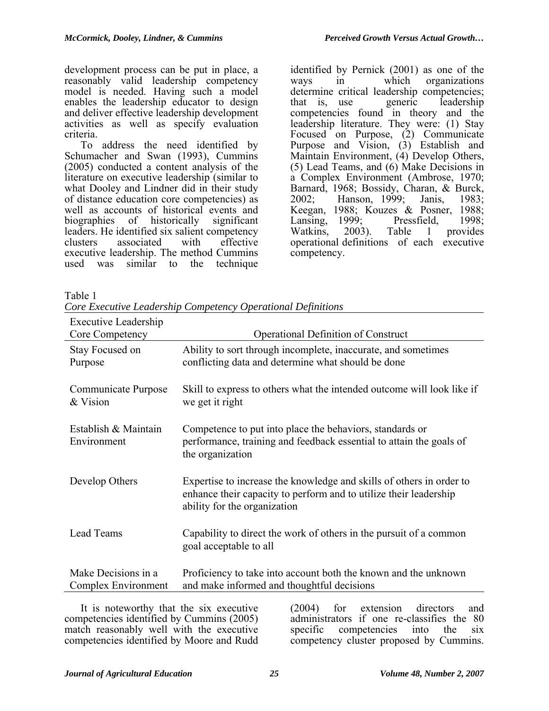development process can be put in place, a reasonably valid leadership competency model is needed. Having such a model enables the leadership educator to design and deliver effective leadership development activities as well as specify evaluation criteria.

To address the need identified by Schumacher and Swan (1993), Cummins (2005) conducted a content analysis of the literature on executive leadership (similar to what Dooley and Lindner did in their study of distance education core competencies) as well as accounts of historical events and biographies of historically significant leaders. He identified six salient competency clusters associated with effective executive leadership. The method Cummins used was similar to the technique

identified by Pernick (2001) as one of the ways in which organizations determine critical leadership competencies;<br>that is, use generic leadership that is, use generic leadership competencies found in theory and the leadership literature. They were: (1) Stay Focused on Purpose, (2) Communicate Purpose and Vision, (3) Establish and Maintain Environment, (4) Develop Others, (5) Lead Teams, and (6) Make Decisions in a Complex Environment (Ambrose, 1970; Barnard, 1968; Bossidy, Charan, & Burck, 2002; Hanson, 1999; Janis, 1983; Keegan, 1988; Kouzes & Posner, 1988; Lansing, 1999; Pressfield, 1998; Watkins, 2003). Table 1 provides operational definitions of each executive competency.

Table 1

*Core Executive Leadership Competency Operational Definitions* 

| <b>Executive Leadership</b><br>Core Competency | <b>Operational Definition of Construct</b>                                                                                                                                |
|------------------------------------------------|---------------------------------------------------------------------------------------------------------------------------------------------------------------------------|
| Stay Focused on<br>Purpose                     | Ability to sort through incomplete, inaccurate, and sometimes<br>conflicting data and determine what should be done                                                       |
| Communicate Purpose<br>& Vision                | Skill to express to others what the intended outcome will look like if<br>we get it right                                                                                 |
| Establish & Maintain<br>Environment            | Competence to put into place the behaviors, standards or<br>performance, training and feedback essential to attain the goals of<br>the organization                       |
| Develop Others                                 | Expertise to increase the knowledge and skills of others in order to<br>enhance their capacity to perform and to utilize their leadership<br>ability for the organization |
| Lead Teams                                     | Capability to direct the work of others in the pursuit of a common<br>goal acceptable to all                                                                              |
| Make Decisions in a<br>Complex Environment     | Proficiency to take into account both the known and the unknown<br>and make informed and thoughtful decisions                                                             |

It is noteworthy that the six executive competencies identified by Cummins (2005) match reasonably well with the executive competencies identified by Moore and Rudd (2004) for extension directors and administrators if one re-classifies the 80 specific competencies into the six competency cluster proposed by Cummins.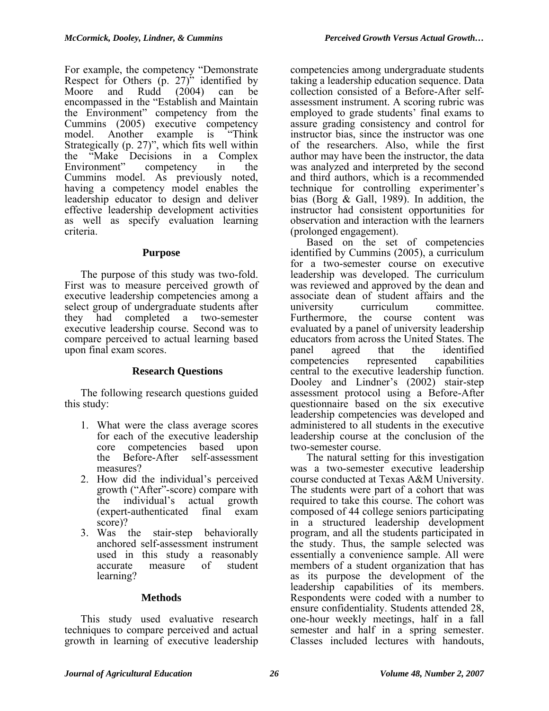For example, the competency "Demonstrate Respect for Others  $(p. 27)$ " identified by Moore and Rudd (2004) can be encompassed in the "Establish and Maintain the Environment" competency from the Cummins (2005) executive competency model. Another example is "Think Strategically (p. 27)", which fits well within the "Make Decisions in a Complex Environment" competency in the Cummins model. As previously noted, having a competency model enables the leadership educator to design and deliver effective leadership development activities as well as specify evaluation learning criteria.

## **Purpose**

The purpose of this study was two-fold. First was to measure perceived growth of executive leadership competencies among a select group of undergraduate students after they had completed a two-semester executive leadership course. Second was to compare perceived to actual learning based upon final exam scores.

# **Research Questions**

The following research questions guided this study:

- 1. What were the class average scores for each of the executive leadership core competencies based upon the Before-After self-assessment measures?
- 2. How did the individual's perceived growth ("After"-score) compare with<br>the individual's actual growth the individual's actual (expert-authenticated final exam score)?
- 3. Was the stair-step behaviorally anchored self-assessment instrument used in this study a reasonably accurate measure of student learning?

### **Methods**

This study used evaluative research techniques to compare perceived and actual growth in learning of executive leadership  was analyzed and interpreted by the second competencies among undergraduate students taking a leadership education sequence. Data collection consisted of a Before-After selfassessment instrument. A scoring rubric was employed to grade students' final exams to assure grading consistency and control for instructor bias, since the instructor was one of the researchers. Also, while the first author may have been the instructor, the data and third authors, which is a recommended technique for controlling experimenter's bias (Borg & Gall, 1989). In addition, the instructor had consistent opportunities for observation and interaction with the learners (prolonged engagement).

 two-semester course. Based on the set of competencies identified by Cummins (2005), a curriculum for a two-semester course on executive leadership was developed. The curriculum was reviewed and approved by the dean and associate dean of student affairs and the university curriculum committee. Furthermore, the course content was evaluated by a panel of university leadership educators from across the United States. The panel agreed that the identified competencies represented capabilities central to the executive leadership function. Dooley and Lindner's (2002) stair-step assessment protocol using a Before-After questionnaire based on the six executive leadership competencies was developed and administered to all students in the executive leadership course at the conclusion of the

The natural setting for this investigation was a two-semester executive leadership course conducted at Texas A&M University. The students were part of a cohort that was required to take this course. The cohort was composed of 44 college seniors participating in a structured leadership development program, and all the students participated in the study. Thus, the sample selected was essentially a convenience sample. All were members of a student organization that has as its purpose the development of the leadership capabilities of its members. Respondents were coded with a number to ensure confidentiality. Students attended 28, one-hour weekly meetings, half in a fall semester and half in a spring semester. Classes included lectures with handouts,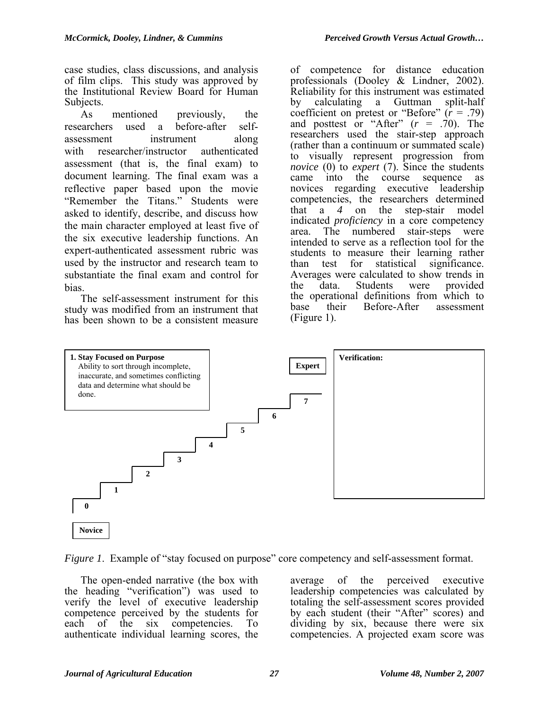case studies, class discussions, and analysis of film clips. This study was approved by the Institutional Review Board for Human Subjects.

As mentioned previously, the researchers used a before-after selfassessment instrument along with researcher/instructor authenticated assessment (that is, the final exam) to document learning. The final exam was a reflective paper based upon the movie "Remember the Titans." Students were asked to identify, describe, and discuss how the main character employed at least five of the six executive leadership functions. An expert-authenticated assessment rubric was used by the instructor and research team to substantiate the final exam and control for bias.

The self-assessment instrument for this study was modified from an instrument that has been shown to be a consistent measure

researchers used the stair-step approach<br>(rather than a continuum or summated scale) of competence for distance education professionals (Dooley & Lindner, 2002). Reliability for this instrument was estimated by calculating a Guttman split-half coefficient on pretest or "Before"  $(r = .79)$ and posttest or "After" (*r* = .70). The researchers used the stair-step approach to visually represent progression from *novice* (0) to *expert* (7). Since the students came into the course sequence as novices regarding executive leadership competencies, the researchers determined that a *4* on the step-stair model indicated *proficiency* in a core competency area. The numbered stair-steps were intended to serve as a reflection tool for the students to measure their learning rather than test for statistical significance. Averages were calculated to show trends in the data. Students were provided the operational definitions from which to base their Before-After assessment (Figure 1).



*Figure 1.* Example of "stay focused on purpose" core competency and self-assessment format.

The open-ended narrative (the box with the heading "verification") was used to verify the level of executive leadership competence perceived by the students for each of the six competencies. To authenticate individual learning scores, the

average of the perceived executive leadership competencies was calculated by totaling the self-assessment scores provided by each student (their "After" scores) and dividing by six, because there were six competencies. A projected exam score was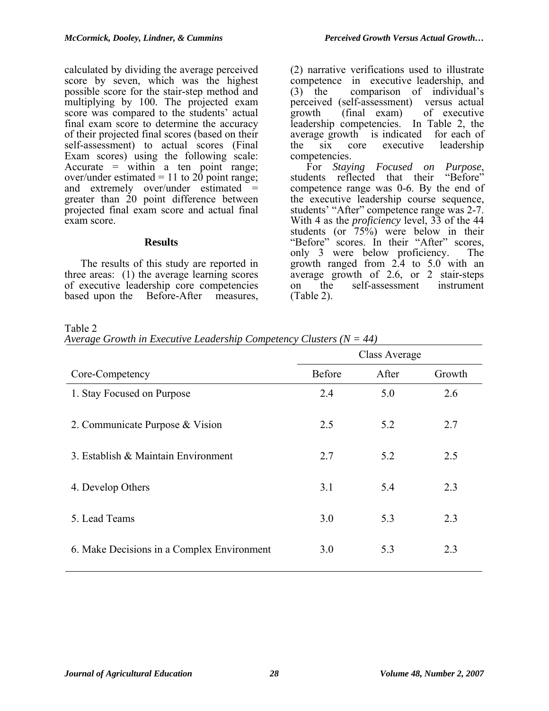calculated by dividing the average perceived score by seven, which was the highest possible score for the stair-step method and multiplying by 100. The projected exam score was compared to the students' actual final exam score to determine the accuracy of their projected final scores (based on their self-assessment) to actual scores (Final Exam scores) using the following scale: Accurate  $=$  within a ten point range; over/under estimated = 11 to 20 point range; and extremely over/under estimated  $=$ greater than  $20$  point difference between projected final exam score and actual final exam score.

### **Results**

The results of this study are reported in three areas: (1) the average learning scores of executive leadership core competencies based upon the Before-After measures,

(2) narrative verifications used to illustrate competence in executive leadership, and (3) the comparison of individual's perceived (self-assessment) versus actual growth (final exam) of executive leadership competencies. In Table 2, the average growth is indicated for each of the six core executive leadership competencies.

For *Staying Focused on Purpose*, students reflected that their "Before" competence range was 0-6. By the end of the executive leadership course sequence, students' "After" competence range was 2-7. With 4 as the *proficiency* level, 33 of the 44 students (or 75%) were below in their "Before" scores. In their "After" scores, only 3 were below proficiency. The growth ranged from 2.4 to 5.0 with an average growth of 2.6, or 2 stair-steps<br>on the self-assessment instrument (Table 2).

Table 2

*Average Growth in Executive Leadership Competency Clusters (N = 44)* 

|                                            |        | Class Average |        |
|--------------------------------------------|--------|---------------|--------|
| Core-Competency                            | Before | After         | Growth |
| 1. Stay Focused on Purpose                 | 2.4    | 5.0           | 2.6    |
| 2. Communicate Purpose & Vision            | 2.5    | 5.2           | 2.7    |
| 3. Establish & Maintain Environment        | 2.7    | 5.2           | 2.5    |
| 4. Develop Others                          | 3.1    | 5.4           | 2.3    |
| 5. Lead Teams                              | 3.0    | 5.3           | 2.3    |
| 6. Make Decisions in a Complex Environment | 3.0    | 5.3           | 2.3    |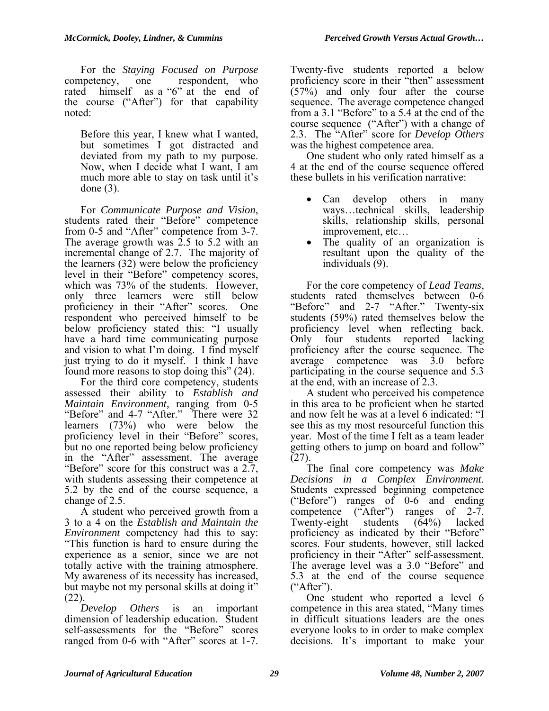For the *Staying Focused on Purpose* competency, one respondent, who rated himself as a "6" at the end of the course ("After") for that capability noted:

Before this year, I knew what I wanted, but sometimes I got distracted and deviated from my path to my purpose. Now, when I decide what I want, I am much more able to stay on task until it's done (3).

For *Communicate Purpose and Vision*, students rated their "Before" competence from 0-5 and "After" competence from 3-7. The average growth was 2.5 to 5.2 with an incremental change of 2.7. The majority of the learners (32) were below the proficiency level in their "Before" competency scores, which was 73% of the students. However, only three learners were still below proficiency in their "After" scores. One respondent who perceived himself to be below proficiency stated this: "I usually have a hard time communicating purpose and vision to what I'm doing. I find myself just trying to do it myself. I think I have found more reasons to stop doing this" (24).

For the third core competency, students assessed their ability to *Establish and Maintain Environment,* ranging from 0-5 "Before" and 4-7 "After." There were 32 learners (73%) who were below the proficiency level in their "Before" scores, but no one reported being below proficiency in the "After" assessment. The average "Before" score for this construct was a 2.7, with students assessing their competence at 5.2 by the end of the course sequence, a change of 2.5.

A student who perceived growth from a 3 to a 4 on the *Establish and Maintain the Environment* competency had this to say: "This function is hard to ensure during the experience as a senior, since we are not totally active with the training atmosphere. My awareness of its necessity has increased, but maybe not my personal skills at doing it" (22).

*Develop Others* is an important dimension of leadership education. Student self-assessments for the "Before" scores ranged from 0-6 with "After" scores at 1-7.

Twenty-five students reported a below proficiency score in their "then" assessment  $(57%)$  and only four after the course sequence. The average competence changed from a 3.1 "Before" to a 5.4 at the end of the course sequence ("After") with a change of 2.3. The "After" score for *Develop Others* was the highest competence area.

One student who only rated himself as a 4 at the end of the course sequence offered these bullets in his verification narrative:

- Can develop others in many ways…technical skills, leadership skills, relationship skills, personal
- improvement, etc...<br>• The quality of an organization is resultant upon the quality of the individuals (9).

For the core competency of *Lead Teams*, students rated themselves between 0-6 "Before" and 2-7 "After." Twenty-six students (59%) rated themselves below the proficiency level when reflecting back. Only four students reported lacking proficiency after the course sequence. The average competence was 3.0 before participating in the course sequence and 5.3 at the end, with an increase of 2.3.

A student who perceived his competence in this area to be proficient when he started and now felt he was at a level 6 indicated: "I see this as my most resourceful function this year. Most of the time I felt as a team leader getting others to jump on board and follow" (27).

The final core competency was *Make Decisions in a Complex Environment*. Students expressed beginning competence ("Before") ranges of 0-6 and ending competence ("After") ranges of 2-7. Twenty-eight students (64%) lacked proficiency as indicated by their "Before" scores. Four students, however, still lacked proficiency in their "After" self-assessment. The average level was a 3.0 "Before" and 5.3 at the end of the course sequence ("After").

One student who reported a level 6 competence in this area stated, "Many times in difficult situations leaders are the ones everyone looks to in order to make complex decisions. It's important to make your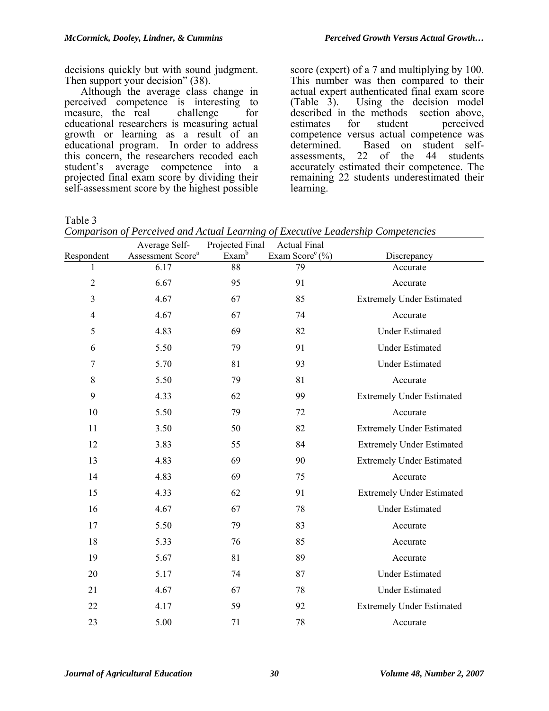decisions quickly but with sound judgment. Then support your decision" (38).

Although the average class change in perceived competence is interesting to measure, the real challenge for educational researchers is measuring actual growth or learning as a result of an educational program. In order to address this concern, the researchers recoded each student's average competence into a projected final exam score by dividing their self-assessment score by the highest possible

score (expert) of a 7 and multiplying by 100. This number was then compared to their actual expert authenticated final exam score (Table 3). Using the decision model described in the methods section above, estimates for student perceived competence versus actual competence was determined. Based on student selfassessments, 22 of the 44 students accurately estimated their competence. The remaining 22 students underestimated their learning.

Table 3

*Comparison of Perceived and Actual Learning of Executive Leadership Competencies* 

| Respondent     | Average Self-<br>Assessment Score <sup>a</sup> | Projected Final<br>Exam <sup>b</sup> | <b>Actual Final</b><br>Exam Score <sup>c</sup> $(\%$ ) | Discrepancy                      |
|----------------|------------------------------------------------|--------------------------------------|--------------------------------------------------------|----------------------------------|
|                | 6.17                                           | 88                                   | 79                                                     | Accurate                         |
| $\overline{2}$ | 6.67                                           | 95                                   | 91                                                     | Accurate                         |
| 3              | 4.67                                           | 67                                   | 85                                                     | <b>Extremely Under Estimated</b> |
| $\overline{4}$ | 4.67                                           | 67                                   | 74                                                     | Accurate                         |
| 5              | 4.83                                           | 69                                   | 82                                                     | <b>Under Estimated</b>           |
| 6              | 5.50                                           | 79                                   | 91                                                     | <b>Under Estimated</b>           |
| 7              | 5.70                                           | 81                                   | 93                                                     | <b>Under Estimated</b>           |
| $\,8\,$        | 5.50                                           | 79                                   | 81                                                     | Accurate                         |
| 9              | 4.33                                           | 62                                   | 99                                                     | <b>Extremely Under Estimated</b> |
| 10             | 5.50                                           | 79                                   | 72                                                     | Accurate                         |
| 11             | 3.50                                           | 50                                   | 82                                                     | <b>Extremely Under Estimated</b> |
| 12             | 3.83                                           | 55                                   | 84                                                     | <b>Extremely Under Estimated</b> |
| 13             | 4.83                                           | 69                                   | 90                                                     | <b>Extremely Under Estimated</b> |
| 14             | 4.83                                           | 69                                   | 75                                                     | Accurate                         |
| 15             | 4.33                                           | 62                                   | 91                                                     | <b>Extremely Under Estimated</b> |
| 16             | 4.67                                           | 67                                   | 78                                                     | <b>Under Estimated</b>           |
| 17             | 5.50                                           | 79                                   | 83                                                     | Accurate                         |
| 18             | 5.33                                           | 76                                   | 85                                                     | Accurate                         |
| 19             | 5.67                                           | 81                                   | 89                                                     | Accurate                         |
| 20             | 5.17                                           | 74                                   | 87                                                     | <b>Under Estimated</b>           |
| 21             | 4.67                                           | 67                                   | 78                                                     | <b>Under Estimated</b>           |
| 22             | 4.17                                           | 59                                   | 92                                                     | <b>Extremely Under Estimated</b> |
| 23             | 5.00                                           | 71                                   | 78                                                     | Accurate                         |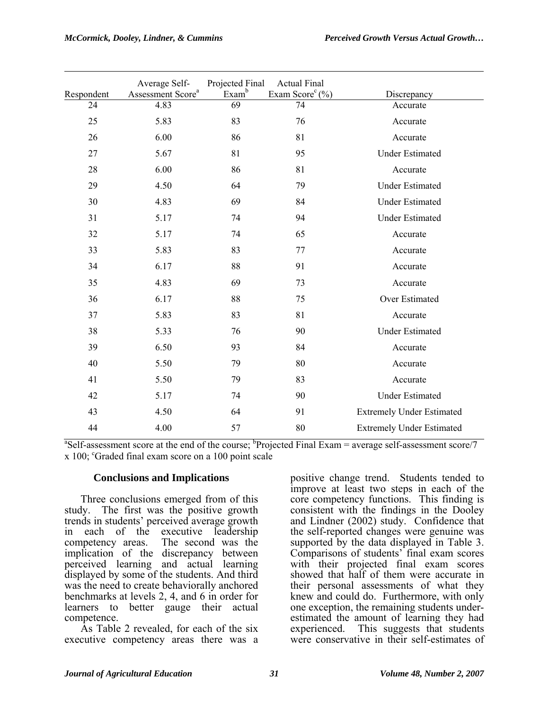| Respondent | Average Self-<br>Assessment Score <sup>a</sup> | Projected Final<br>$Exam^b$ | <b>Actual Final</b><br>Exam Score <sup>c</sup> $(\% )$ | Discrepancy                      |
|------------|------------------------------------------------|-----------------------------|--------------------------------------------------------|----------------------------------|
| 24         | 4.83                                           | 69                          | 74                                                     | Accurate                         |
| 25         | 5.83                                           | 83                          | 76                                                     | Accurate                         |
| 26         | 6.00                                           | 86                          | 81                                                     | Accurate                         |
| 27         | 5.67                                           | 81                          | 95                                                     | <b>Under Estimated</b>           |
| 28         | 6.00                                           | 86                          | 81                                                     | Accurate                         |
| 29         | 4.50                                           | 64                          | 79                                                     | <b>Under Estimated</b>           |
| 30         | 4.83                                           | 69                          | 84                                                     | <b>Under Estimated</b>           |
| 31         | 5.17                                           | 74                          | 94                                                     | <b>Under Estimated</b>           |
| 32         | 5.17                                           | 74                          | 65                                                     | Accurate                         |
| 33         | 5.83                                           | 83                          | 77                                                     | Accurate                         |
| 34         | 6.17                                           | 88                          | 91                                                     | Accurate                         |
| 35         | 4.83                                           | 69                          | 73                                                     | Accurate                         |
| 36         | 6.17                                           | 88                          | 75                                                     | Over Estimated                   |
| 37         | 5.83                                           | 83                          | 81                                                     | Accurate                         |
| 38         | 5.33                                           | 76                          | 90                                                     | <b>Under Estimated</b>           |
| 39         | 6.50                                           | 93                          | 84                                                     | Accurate                         |
| 40         | 5.50                                           | 79                          | 80                                                     | Accurate                         |
| 41         | 5.50                                           | 79                          | 83                                                     | Accurate                         |
| 42         | 5.17                                           | 74                          | 90                                                     | <b>Under Estimated</b>           |
| 43         | 4.50                                           | 64                          | 91                                                     | <b>Extremely Under Estimated</b> |
| 44         | 4.00                                           | 57                          | 80                                                     | <b>Extremely Under Estimated</b> |

<sup>a</sup>Self-assessment score at the end of the course; <sup>b</sup>Projected Final Exam = average self-assessment score/7 x 100; <sup>c</sup>Graded final exam score on a 100 point scale

### **Conclusions and Implications**

Three conclusions emerged from of this study. The first was the positive growth trends in students' perceived average growth in each of the executive leadership competency areas. The second was the implication of the discrepancy between perceived learning and actual learning displayed by some of the students. And third was the need to create behaviorally anchored benchmarks at levels 2, 4, and 6 in order for learners to better gauge their actual competence.

As Table 2 revealed, for each of the six executive competency areas there was a positive change trend. Students tended to improve at least two steps in each of the core competency functions. This finding is consistent with the findings in the Dooley and Lindner (2002) study. Confidence that the self-reported changes were genuine was supported by the data displayed in Table 3. Comparisons of students' final exam scores with their projected final exam scores showed that half of them were accurate in their personal assessments of what they knew and could do. Furthermore, with only one exception, the remaining students underestimated the amount of learning they had experienced. This suggests that students were conservative in their self-estimates of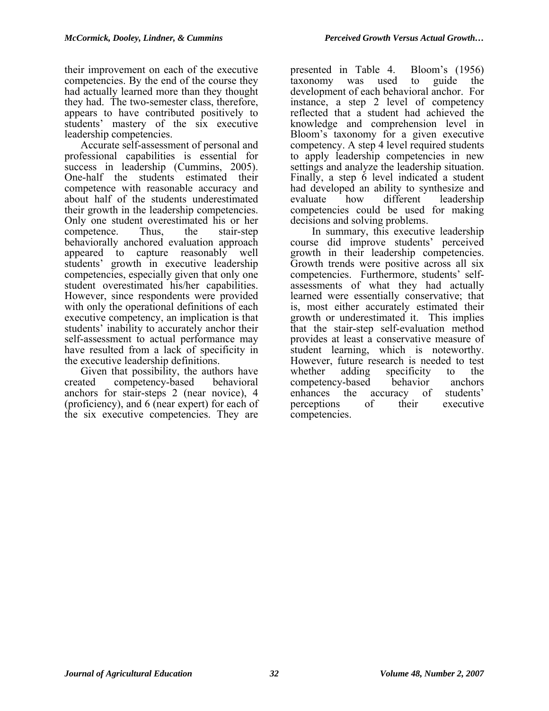their improvement on each of the executive competencies. By the end of the course they had actually learned more than they thought they had. The two-semester class, therefore, appears to have contributed positively to students' mastery of the six executive leadership competencies.

Accurate self-assessment of personal and professional capabilities is essential for success in leadership (Cummins, 2005). One-half the students estimated their competence with reasonable accuracy and about half of the students underestimated their growth in the leadership competencies. Only one student overestimated his or her competence. Thus, the stair-step behaviorally anchored evaluation approach appeared to capture reasonably well students' growth in executive leadership competencies, especially given that only one student overestimated his/her capabilities. However, since respondents were provided with only the operational definitions of each executive competency, an implication is that students' inability to accurately anchor their self-assessment to actual performance may have resulted from a lack of specificity in the executive leadership definitions.

Given that possibility, the authors have created competency-based behavioral anchors for stair-steps 2 (near novice), 4 (proficiency), and 6 (near expert) for each of the six executive competencies. They are presented in Table 4. Bloom's (1956) taxonomy was used to guide the development of each behavioral anchor. For instance, a step 2 level of competency reflected that a student had achieved the knowledge and comprehension level in Bloom's taxonomy for a given executive competency. A step 4 level required students to apply leadership competencies in new settings and analyze the leadership situation. Finally, a step 6 level indicated a student had developed an ability to synthesize and evaluate how different leadership competencies could be used for making decisions and solving problems.

 In summary, this executive leadership course did improve students' perceived growth in their leadership competencies. Growth trends were positive across all six competencies. Furthermore, students' selfassessments of what they had actually learned were essentially conservative; that is, most either accurately estimated their growth or underestimated it. This implies that the stair-step self-evaluation method provides at least a conservative measure of student learning, which is noteworthy. However, future research is needed to test whether adding specificity to the competency-based behavior anchors enhances the accuracy of students' perceptions of their executive competencies.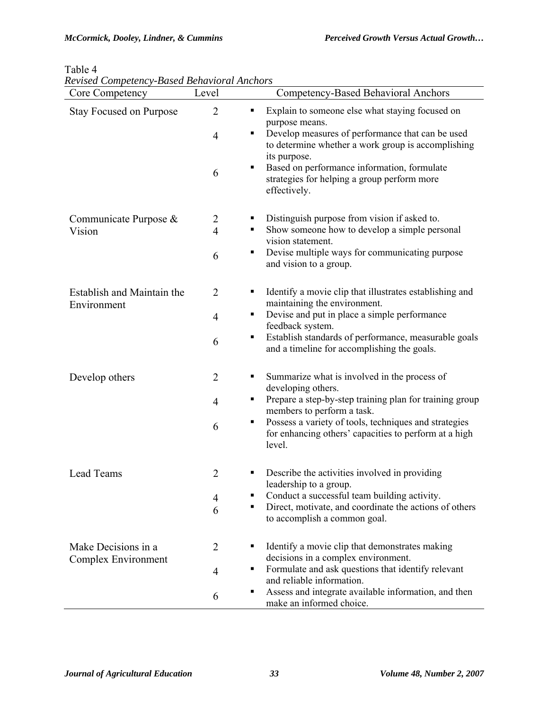| Revised Competency-Based Behavioral Anchors<br>Core Competency | Level          | Competency-Based Behavioral Anchors                                                                                             |
|----------------------------------------------------------------|----------------|---------------------------------------------------------------------------------------------------------------------------------|
| <b>Stay Focused on Purpose</b>                                 | $\overline{2}$ | Explain to someone else what staying focused on<br>٠<br>purpose means.                                                          |
|                                                                | $\overline{4}$ | Develop measures of performance that can be used<br>٠<br>to determine whether a work group is accomplishing                     |
|                                                                | 6              | its purpose.<br>Based on performance information, formulate<br>٠<br>strategies for helping a group perform more<br>effectively. |
| Communicate Purpose $\&$                                       | 2              | Distinguish purpose from vision if asked to.<br>٠                                                                               |
| Vision                                                         | $\overline{4}$ | Show someone how to develop a simple personal<br>٠<br>vision statement.                                                         |
|                                                                | 6              | Devise multiple ways for communicating purpose<br>Е<br>and vision to a group.                                                   |
| Establish and Maintain the                                     | 2              | Identify a movie clip that illustrates establishing and<br>٠<br>maintaining the environment.                                    |
| Environment                                                    | $\overline{4}$ | Devise and put in place a simple performance<br>٠<br>feedback system.                                                           |
|                                                                | 6              | Establish standards of performance, measurable goals<br>٠<br>and a timeline for accomplishing the goals.                        |
| Develop others                                                 | $\overline{2}$ | Summarize what is involved in the process of<br>٠<br>developing others.                                                         |
|                                                                | 4              | Prepare a step-by-step training plan for training group<br>٠<br>members to perform a task.                                      |
|                                                                | 6              | Possess a variety of tools, techniques and strategies<br>٠<br>for enhancing others' capacities to perform at a high<br>level.   |
| Lead Teams                                                     | $\overline{2}$ | Describe the activities involved in providing<br>٠<br>leadership to a group.                                                    |
|                                                                | 4              | Conduct a successful team building activity.                                                                                    |
|                                                                | 6              | Direct, motivate, and coordinate the actions of others<br>to accomplish a common goal.                                          |
| Make Decisions in a<br>Complex Environment                     | 2              | Identify a movie clip that demonstrates making<br>٠<br>decisions in a complex environment.                                      |
|                                                                | 4              | Formulate and ask questions that identify relevant<br>п<br>and reliable information.                                            |
|                                                                | 6              | Assess and integrate available information, and then<br>make an informed choice.                                                |

# Table 4<br>Revised  $C<sub>6</sub>$ *Revised Competency-Based Behavioral Anchors*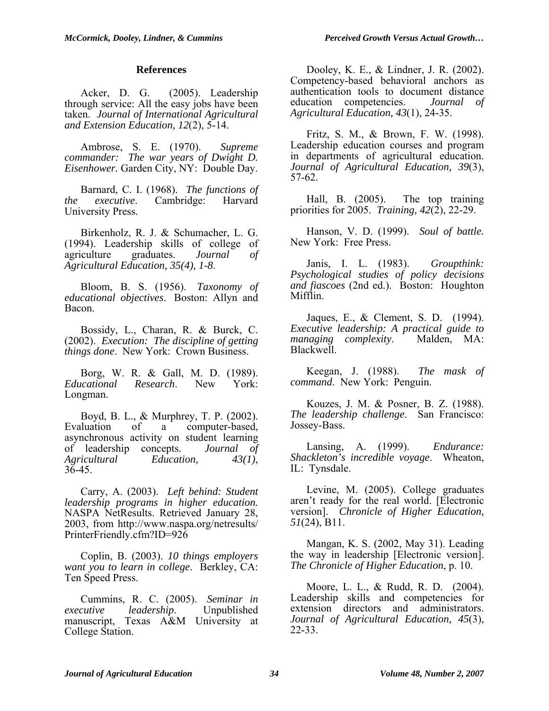#### **References**

Acker, D. G. (2005). Leadership through service: All the easy jobs have been taken. *Journal of International Agricultural and Extension Education, 12*(2), 5-14.

Ambrose, S. E. (1970). *Supreme commander: The war years of Dwight D. Eisenhower.* Garden City, NY: Double Day.

Barnard, C. I. (1968). *The functions of the executive*. Cambridge: Harvard University Press.

Birkenholz, R. J. & Schumacher, L. G. (1994). Leadership skills of college of agriculture graduates. *Journal of Agricultural Education, 35(4), 1-8*.

Bloom, B. S. (1956). *Taxonomy of educational objectives*. Boston: Allyn and Bacon.

Bossidy, L., Charan, R. & Burck, C. (2002). *Execution: The discipline of getting things done*. New York: Crown Business.

Borg, W. R. & Gall, M. D. (1989). *Educational Research*. New York: Longman.

Boyd, B. L., & Murphrey, T. P. (2002). Evaluation of a computer-based, asynchronous activity on student learning<br>of leadership concepts. *Journal of* of leadership concepts. *Journal of Agricultural Education, 43(1)*,  $36-45$ .

Carry, A. (2003). *Left behind: Student leadership programs in higher education.*  NASPA NetResults. Retrieved January 28, 2003, from http://www.naspa.org/netresults/ PrinterFriendly.cfm?ID=926

Coplin, B. (2003). *10 things employers want you to learn in college*. Berkley, CA: Ten Speed Press.

Cummins, R. C. (2005). *Seminar in executive leadership*. Unpublished manuscript, Texas A&M University at College Station.

Dooley, K. E., & Lindner, J. R. (2002). Competency-based behavioral anchors as authentication tools to document distance education competencies. *Journal of Agricultural Education, 43*(1), 24-35.

Fritz, S. M., & Brown, F. W. (1998). Leadership education courses and program in departments of agricultural education. *Journal of Agricultural Education, 39*(3), 57-62.

Hall, B. (2005). The top training priorities for 2005. *Training, 42*(2), 22-29.

Hanson, V. D. (1999). *Soul of battle.* New York: Free Press.

Janis, I. L. (1983). *Groupthink: Psychological studies of policy decisions and fiascoes* (2nd ed.). Boston: Houghton Mifflin.

Jaques, E., & Clement, S. D. (1994). *Executive leadership: A practical guide to managing complexity*. Malden, MA: Blackwell.

Keegan, J. (1988). *The mask of command*. New York: Penguin.

Kouzes, J. M. & Posner, B. Z. (1988). *The leadership challenge*. San Francisco: Jossey-Bass.

 *Shackleton's incredible voyage*. Wheaton, Lansing, A. (1999). *Endurance:*  IL: Tynsdale.

Levine, M. (2005). College graduates aren't ready for the real world. [Electronic version]. *Chronicle of Higher Education, 51*(24), B11.

Mangan, K. S. (2002, May 31). Leading the way in leadership [Electronic version]. *The Chronicle of Higher Education*, p. 10.

Moore, L. L., & Rudd, R. D. (2004). Leadership skills and competencies for extension directors and administrators. *Journal of Agricultural Education, 45*(3), 22-33.